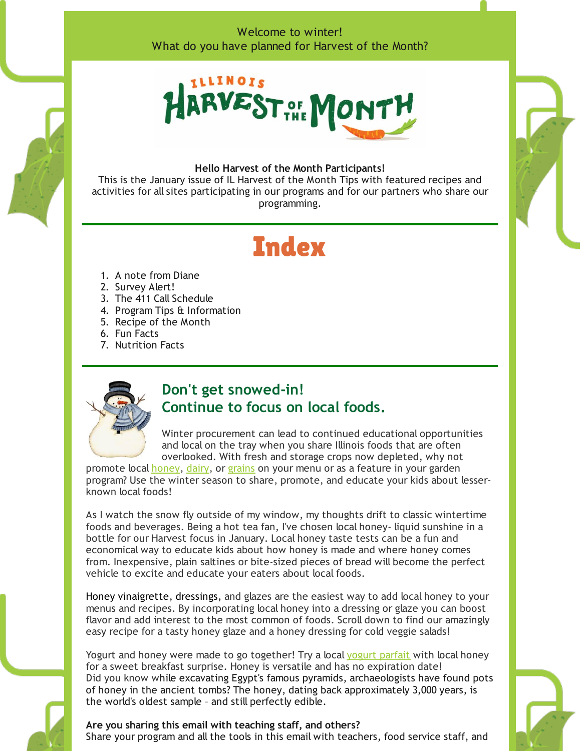### Welcome to winter! What do you have planned for Harvest of the Month?



#### **Hello Harvest of the Month Participants!**

This is the January issue of IL Harvest of the Month Tips with featured recipes and activities for all sites participating in our programs and for our partners who share our programming.

# **Index**

- 1. A note from Diane
- 2. Survey Alert!
- 3. The 411 Call Schedule
- 4. Program Tips & Information
- 5. Recipe of the Month
- 6. Fun Facts
- 7. Nutrition Facts



### **Don't get snowed-in! Continue to focus on local foods.**

Winter procurement can lead to continued educational opportunities and local on the tray when you share Illinois foods that are often overlooked. With fresh and storage crops now depleted, why not

promote local [honey](http://harvestillinois.org/honey-registered-schools-page), [dairy](http://harvestillinois.org/dairy-registered-schools-page), or [grains](http://harvestillinois.org/grains-registered-schools-page) on your menu or as a feature in your garden program? Use the winter season to share, promote, and educate your kids about lesserknown local foods!

As I watch the snow fly outside of my window, my thoughts drift to classic wintertime foods and beverages. Being a hot tea fan, I've chosen local honey- liquid sunshine in a bottle for our Harvest focus in January. Local honey taste tests can be a fun and economical way to educate kids about how honey is made and where honey comes from. Inexpensive, plain saltines or bite-sized pieces of bread will become the perfect vehicle to excite and educate your eaters about local foods.

Honey vinaigrette, dressings, and glazes are the easiest way to add local honey to your menus and recipes. By incorporating local honey into a dressing or glaze you can boost flavor and add interest to the most common of foods. Scroll down to find our amazingly easy recipe for a tasty honey glaze and a honey dressing for cold veggie salads!

Yogurt and honey were made to go together! Try a local [yogurt](http://harvestillinois.org/yogurt-parfait) parfait with local honey for a sweet breakfast surprise. Honey is versatile and has no expiration date! Did you know while excavating Egypt's famous pyramids, archaeologists have found pots of honey in the ancient tombs? The honey, dating back approximately 3,000 years, is the world's oldest sample – and still perfectly edible.

### **Are you sharing this email with teaching staff, and others?**

Share your program and all the tools in this email with teachers, food service staff, and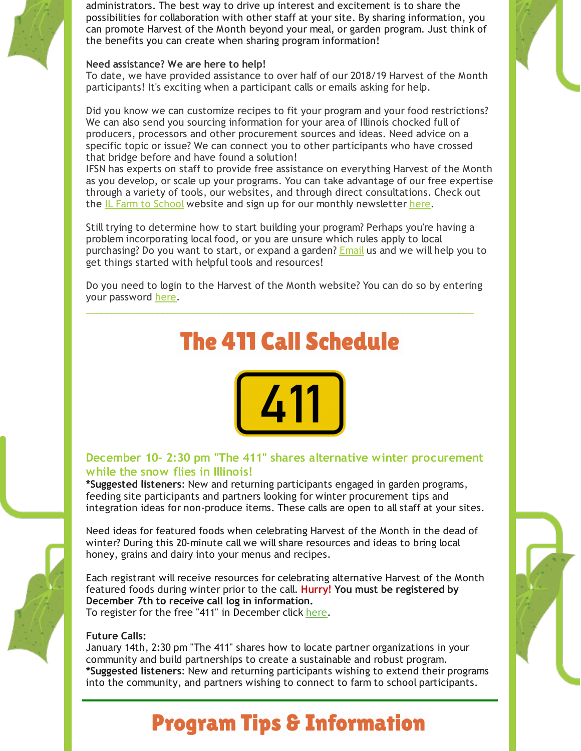administrators. The best way to drive up interest and excitement is to share the possibilities for collaboration with other staff at your site. By sharing information, you can promote Harvest of the Month beyond your meal, or garden program. Just think of the benefits you can create when sharing program information!

#### **Need assistance? We are here to help!**

To date, we have provided assistance to over half of our 2018/19 Harvest of the Month participants! It's exciting when a participant calls or emails asking for help.

Did you know we can customize recipes to fit your program and your food restrictions? We can also send you sourcing information for your area of Illinois chocked full of producers, processors and other procurement sources and ideas. Need advice on a specific topic or issue? We can connect you to other participants who have crossed that bridge before and have found a solution!

IFSN has experts on staff to provide free assistance on everything Harvest of the Month as you develop, or scale up your programs. You can take advantage of our free expertise through a variety of tools, our websites, and through direct consultations. Check out the IL Farm to [School](http://illinoisfarmtoschool.org/) website and sign up for our monthly newsletter [here](http://r20.rs6.net/tn.jsp?t=mhzmco6ab.0.0.qofh5neab.0&id=preview&r=3&p=http%3A%2F%2Fillinoisfarmtoschool.org%2Fabout%2Fjoin%2F).

Still trying to determine how to start building your program? Perhaps you're having a problem incorporating local food, or you are unsure which rules apply to local purchasing? Do you want to start, or expand a garden? **[Email](mailto:diane@sevengenerationsahead.org)** us and we will help you to get things started with helpful tools and resources!

Do you need to login to the Harvest of the Month website? You can do so by entering your password [here](http://r20.rs6.net/tn.jsp?t=mhzmco6ab.0.0.qofh5neab.0&id=preview&r=3&p=http%3A%2F%2Fharvestillinois.org%2F%3Fp%3D943).

\_\_\_\_\_\_\_\_\_\_\_\_\_\_\_\_\_\_\_\_\_\_\_\_\_\_\_\_\_\_\_\_\_\_\_\_\_\_\_\_\_\_\_\_\_\_\_\_\_\_\_\_\_\_\_\_\_\_\_\_\_\_\_\_\_\_\_\_\_\_\_\_\_\_\_\_

# **The 411 Call Schedule**



### **December 10- 2:30 pm "The 411" shares alternative winter procurement while the snow flies in Illinois!**

**\*Suggested listeners**: New and returning participants engaged in garden programs, feeding site participants and partners looking for winter procurement tips and integration ideas for non-produce items. These calls are open to all staff at your sites.

Need ideas for featured foods when celebrating Harvest of the Month in the dead of winter? During this 20-minute call we will share resources and ideas to bring local honey, grains and dairy into your menus and recipes.

Each registrant will receive resources for celebrating alternative Harvest of the Month featured foods during winter prior to the call. **Hurry! You must be registered by December 7th to receive call log in information.**

To register for the free "411" in December click [here.](https://goo.gl/forms/NDK39AJoQfT7Yt492)

#### **Future Calls:**

January 14th, 2:30 pm "The 411" shares how to locate partner organizations in your community and build partnerships to create a sustainable and robust program. **\*Suggested listeners**: New and returning participants wishing to extend their programs into the community, and partners wishing to connect to farm to school participants.

## **Program Tips & Information**

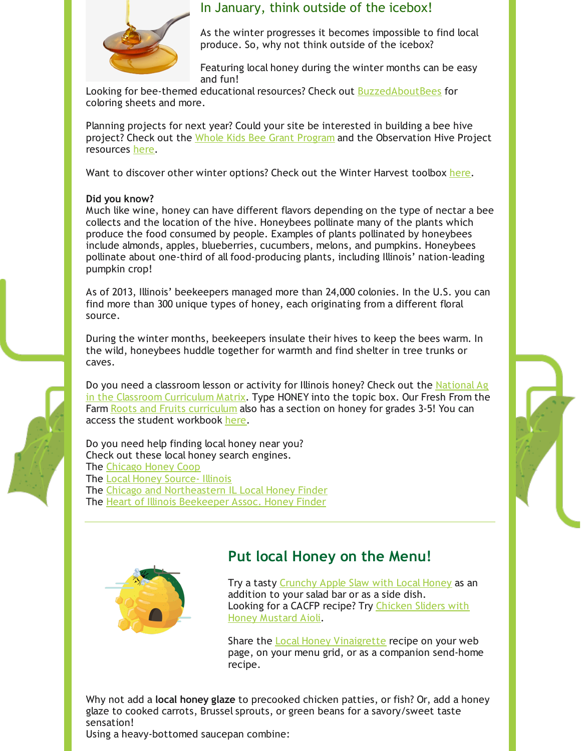

### In January, think outside of the icebox!

As the winter progresses it becomes impossible to find local produce. So, why not think outside of the icebox?

Featuring local honey during the winter months can be easy and fun!

Looking for bee-themed educational resources? Check out [BuzzedAboutBees](https://www.buzzaboutbees.net/Bee-Themed-Educational-Resources.html) for coloring sheets and more.

Planning projects for next year? Could your site be interested in building a bee hive project? Check out the Whole Kids Bee Grant [Program](https://www.wholekidsfoundation.org/schools/honey-bee-grant) and the Observation Hive Project resources [here](https://thebeecause.org/index.php/resources).

Want to discover other winter options? Check out the Winter Harvest toolbox [here](http://harvestillinois.org/winter).

#### **Did you know?**

Much like wine, honey can have different flavors depending on the type of nectar a bee collects and the location of the hive. Honeybees pollinate many of the plants which produce the food consumed by people. Examples of plants pollinated by honeybees include almonds, apples, blueberries, cucumbers, melons, and pumpkins. Honeybees pollinate about one-third of all food-producing plants, including Illinois' nation-leading pumpkin crop!

As of 2013, Illinois' beekeepers managed more than 24,000 colonies. In the U.S. you can find more than 300 unique types of honey, each originating from a different floral source.

During the winter months, beekeepers insulate their hives to keep the bees warm. In the wild, honeybees huddle together for warmth and find shelter in tree trunks or caves.

Do you need a [classroom](https://www.agclassroom.org/teacher/matrix/) lesson or activity for Illinois honey? Check out the National Ag in the Classroom Curriculum Matrix. Type HONEY into the topic box. Our Fresh From the Farm Roots and Fruits [curriculum](http://harvestillinois.org/wp-content/uploads/2017/05/SGA_RaF_Curriculum_082113-2.pdf) also has a section on honey for grades 3-5! You can access the student workbook [here](http://harvestillinois.org/wp-content/uploads/2018/11/RF-Student-Workbook-Electronic.pdf).

Do you need help finding local honey near you? Check out these local honey search engines. The [Chicago](https://www.chicagohoneycoop.com/) Honey Coop The Local Honey [Source-](https://localhoneysource.com/local-honey-list/illinois/) Illinois The Chicago and [Northeastern](http://localhoneyfinder.org/ILchicago.php) IL Local Honey Finder The Heart of Illinois [Beekeeper](http://hoibees.org/localhoney/) Assoc. Honey Finder





### **Put local Honey on the Menu!**

Try a tasty [Crunchy](http://harvestillinois.org/crunchy-apple-slaw) Apple Slaw with Local Honey as an addition to your salad bar or as a side dish. Looking for a CACFP recipe? Try [Chicken](http://harvestillinois.org/chicken-slider-with-honey-mustard-aioli) Sliders with Honey Mustard Aioli.

Share the **Local Honey [Vinaigrette](http://harvestillinois.org/honey-vinaigrette-dressing)** recipe on your web page, on your menu grid, or as a companion send-home recipe.

Why not add a **local honey glaze** to precooked chicken patties, or fish? Or, add a honey glaze to cooked carrots, Brussel sprouts, or green beans for a savory/sweet taste sensation! Using a heavy-bottomed saucepan combine: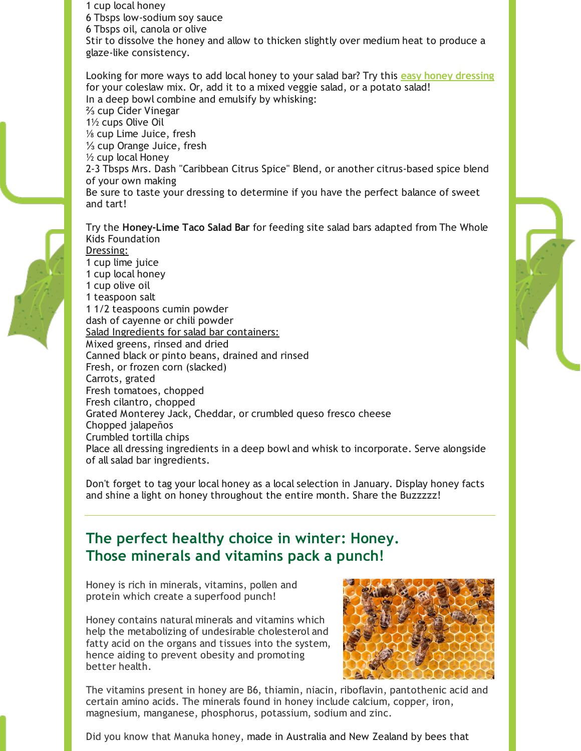1 cup local honey 6 Tbsps low-sodium soy sauce 6 Tbsps oil, canola or olive Stir to dissolve the honey and allow to thicken slightly over medium heat to produce a glaze-like consistency.

Looking for more ways to add local honey to your salad bar? Try this **easy honey [dressing](http://harvestillinois.org/summertime-crisp-corn-salad)** for your coleslaw mix. Or, add it to a mixed veggie salad, or a potato salad! In a deep bowl combine and emulsify by whisking: ⅔ cup Cider Vinegar 1½ cups Olive Oil ⅛ cup Lime Juice, fresh ⅓ cup Orange Juice, fresh ½ cup local Honey 2-3 Tbsps Mrs. Dash "Caribbean Citrus Spice" Blend, or another citrus-based spice blend of your own making Be sure to taste your dressing to determine if you have the perfect balance of sweet and tart!

Try the **Honey-Lime Taco Salad Bar** for feeding site salad bars adapted from The Whole Kids Foundation Dressing: 1 cup lime juice 1 cup local honey 1 cup olive oil 1 teaspoon salt 1 1/2 teaspoons cumin powder dash of cayenne or chili powder Salad Ingredients for salad bar containers: Mixed greens, rinsed and dried Canned black or pinto beans, drained and rinsed Fresh, or frozen corn (slacked) Carrots, grated Fresh tomatoes, chopped Fresh cilantro, chopped Grated Monterey Jack, Cheddar, or crumbled queso fresco cheese Chopped jalapeños Crumbled tortilla chips Place all dressing ingredients in a deep bowl and whisk to incorporate. Serve alongside of all salad bar ingredients.

Don't forget to tag your local honey as a local selection in January. Display honey facts and shine a light on honey throughout the entire month. Share the Buzzzzz!

## **The perfect healthy choice in winter: Honey. Those minerals and vitamins pack a punch!**

Honey is rich in minerals, vitamins, pollen and protein which create a superfood punch!

Honey contains natural minerals and vitamins which help the metabolizing of undesirable [cholesterol](https://www.benefits-of-honey.com/honey-lowers-cholesterol.html) and fatty acid on the organs and tissues into the system, hence aiding to prevent obesity and promoting better health.



The vitamins present in honey are B6, thiamin, niacin, riboflavin, pantothenic acid and certain [amino](https://www.benefits-of-honey.com/amino-acids.html) acids. The minerals found in honey include calcium, copper, iron, magnesium, manganese, phosphorus, potassium, sodium and zinc.

Did you know that Manuka honey, made in Australia and New Zealand by bees that

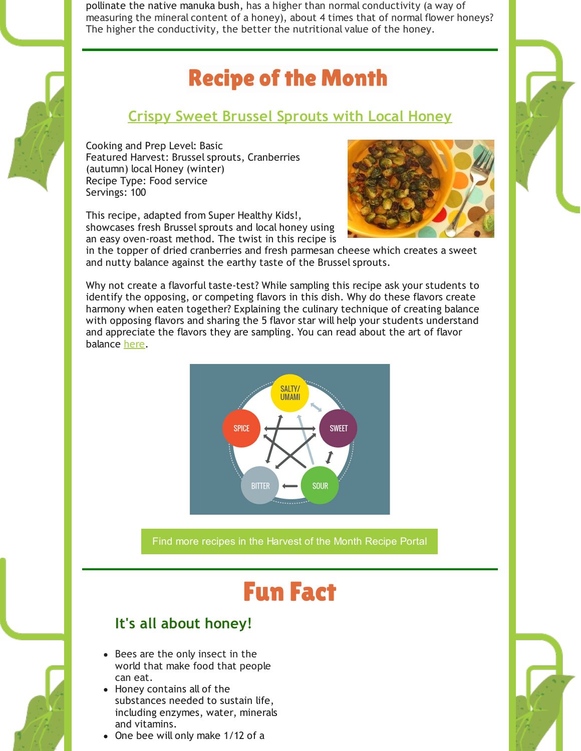pollinate the native manuka bush, has a higher than normal [conductivity](http://www.analytica.co.nz/Tests/Honey-Testing/Colour-Conductivity) (a way of measuring the mineral content of a honey), about 4 times that of normal flower honeys? The higher the conductivity, the better the nutritional value of the honey.

# **Recipe of the Month**

## **Crispy Sweet Brussel [Sprouts](http://harvestillinois.org/crispy-sweet-brussels-sprouts) with Local Honey**

Cooking and Prep Level: Basic Featured Harvest: Brussel sprouts, Cranberries (autumn) local Honey (winter) Recipe Type: Food service Servings: 100

This recipe, adapted from Super Healthy Kids!, showcases fresh Brussel sprouts and local honey using an easy oven-roast method. The twist in this recipe is



in the topper of dried cranberries and fresh parmesan cheese which creates a sweet and nutty balance against the earthy taste of the Brussel sprouts.

Why not create a flavorful taste-test? While sampling this recipe ask your students to identify the opposing, or competing flavors in this dish. Why do these flavors create harmony when eaten together? Explaining the culinary technique of creating balance with opposing flavors and sharing the 5 flavor star will help your students understand and appreciate the flavors they are sampling. You can read about the art of flavor balance [here.](https://foodistkitchen.com/foodist-sample/the-art-of-flavor/)



Find more recipes in the [Harvest](http://harvestillinois.org/recipe-portal-for-registered-schools/recipe-index) of the Month Recipe Portal

# **Fun Fact**

### **It's all about honey!**

- Bees are the only insect in the world that make food that people can eat.
- Honey contains all of the substances needed to sustain life, including enzymes, water, minerals and vitamins.
- One bee will only make 1/12 of a

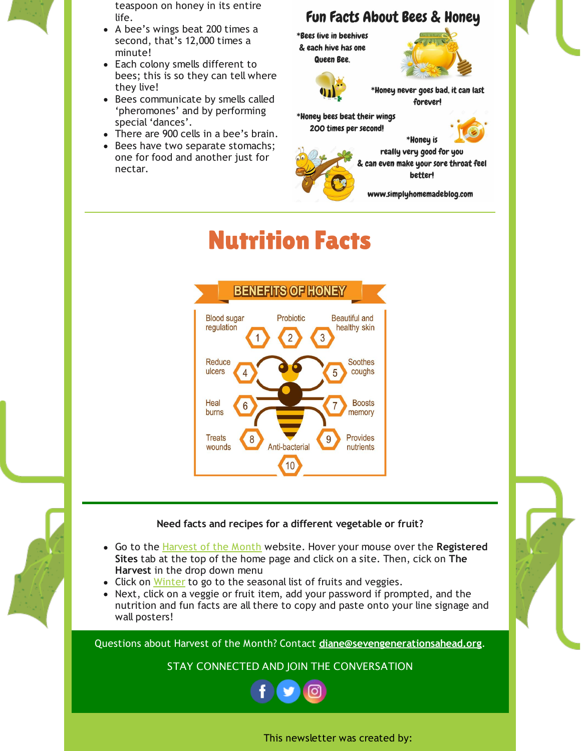

teaspoon on honey in its entire life.

- A bee's wings beat 200 times a second, that's 12,000 times a minute!
- Each colony smells different to bees; this is so they can tell where they live!
- Bees communicate by smells called 'pheromones' and by performing special 'dances'.
- There are 900 cells in a bee's brain.
- Bees have two separate stomachs;  $\bullet$ one for food and another just for nectar.

## Fun Facts About Bees & Honey

\*Bees live in beehives & each hive has one Queen Bee.





\*Honey never goes bad, it can last foreverl

\*Honey bees beat their wings 200 times per second!



really very good for you & can even make your sore throat feel better!

\*Honey is

www.simplyhomemadeblog.com

# **Nutrition Facts**





- Go to the [Harvest](http://harvestillinois.org/) of the Month website. Hover your mouse over the **Registered Sites** tab at the top of the home page and click on a site. Then, cick on **The Harvest** in the drop down menu
- Click on [Winter](http://harvestillinois.org/winter) to go to the seasonal list of fruits and veggies.
- Next, click on a veggie or fruit item, add your password if prompted, and the nutrition and fun facts are all there to copy and paste onto your line signage and wall posters!

Questions about Harvest of the Month? Contact **[diane@sevengenerationsahead.org](mailto:diane@sevengenerationsahead.org)**.

STAY CONNECTED AND JOIN THE CONVERSATION



This newsletter was created by: